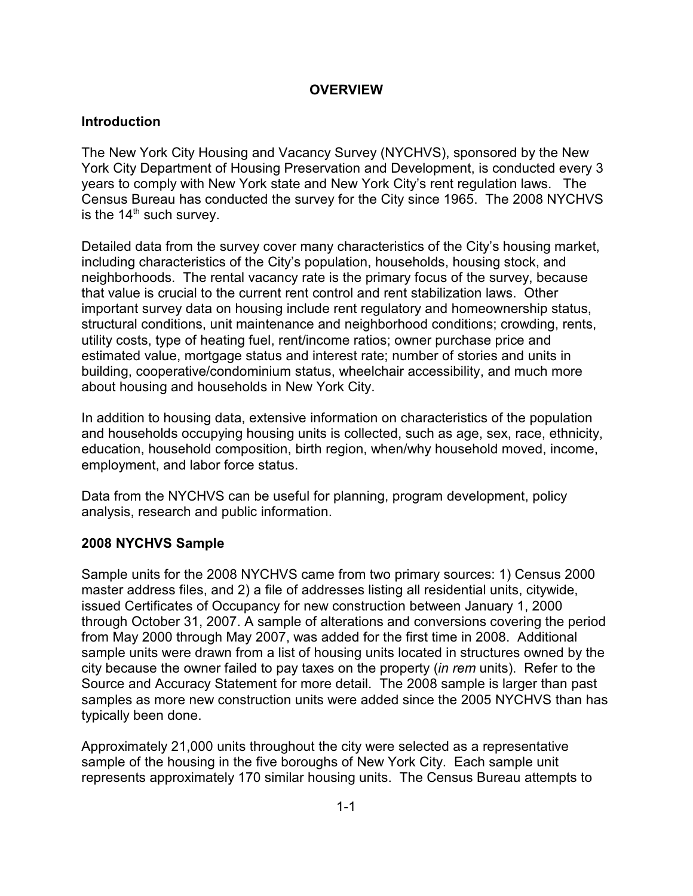# **OVERVIEW**

# **Introduction**

The New York City Housing and Vacancy Survey (NYCHVS), sponsored by the New York City Department of Housing Preservation and Development, is conducted every 3 years to comply with New York state and New York City's rent regulation laws. The Census Bureau has conducted the survey for the City since 1965. The 2008 NYCHVS is the  $14<sup>th</sup>$  such survey.

Detailed data from the survey cover many characteristics of the City's housing market, including characteristics of the City's population, households, housing stock, and neighborhoods. The rental vacancy rate is the primary focus of the survey, because that value is crucial to the current rent control and rent stabilization laws. Other important survey data on housing include rent regulatory and homeownership status, structural conditions, unit maintenance and neighborhood conditions; crowding, rents, utility costs, type of heating fuel, rent/income ratios; owner purchase price and estimated value, mortgage status and interest rate; number of stories and units in building, cooperative/condominium status, wheelchair accessibility, and much more about housing and households in New York City.

In addition to housing data, extensive information on characteristics of the population and households occupying housing units is collected, such as age, sex, race, ethnicity, education, household composition, birth region, when/why household moved, income, employment, and labor force status.

Data from the NYCHVS can be useful for planning, program development, policy analysis, research and public information.

## **2008 NYCHVS Sample**

Sample units for the 2008 NYCHVS came from two primary sources: 1) Census 2000 master address files, and 2) a file of addresses listing all residential units, citywide, issued Certificates of Occupancy for new construction between January 1, 2000 through October 31, 2007. A sample of alterations and conversions covering the period from May 2000 through May 2007, was added for the first time in 2008. Additional sample units were drawn from a list of housing units located in structures owned by the city because the owner failed to pay taxes on the property (*in rem* units). Refer to the Source and Accuracy Statement for more detail. The 2008 sample is larger than past samples as more new construction units were added since the 2005 NYCHVS than has typically been done.

Approximately 21,000 units throughout the city were selected as a representative sample of the housing in the five boroughs of New York City. Each sample unit represents approximately 170 similar housing units. The Census Bureau attempts to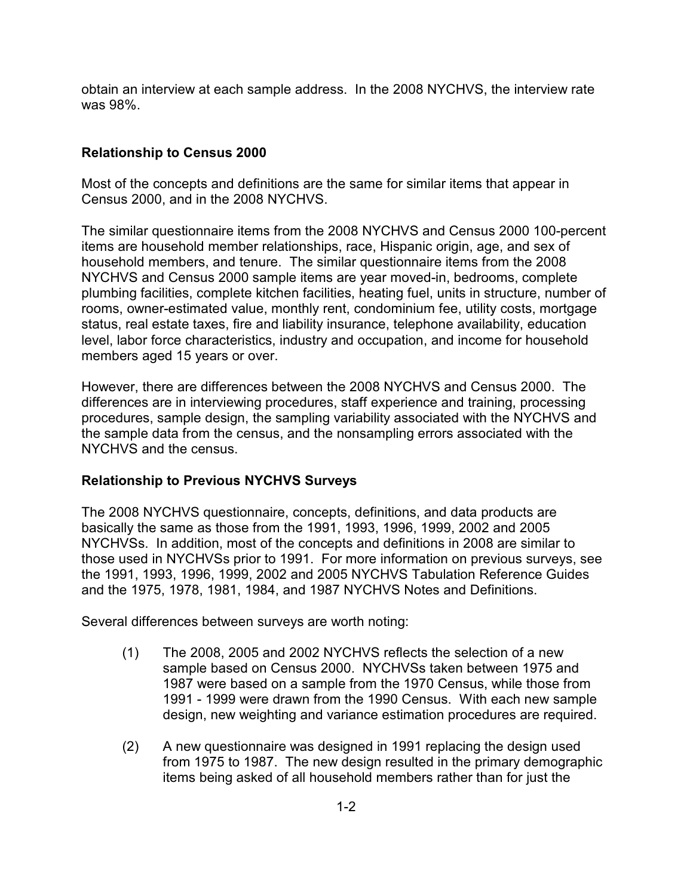obtain an interview at each sample address. In the 2008 NYCHVS, the interview rate was 98%.

## **Relationship to Census 2000**

Most of the concepts and definitions are the same for similar items that appear in Census 2000, and in the 2008 NYCHVS.

The similar questionnaire items from the 2008 NYCHVS and Census 2000 100-percent items are household member relationships, race, Hispanic origin, age, and sex of household members, and tenure. The similar questionnaire items from the 2008 NYCHVS and Census 2000 sample items are year moved-in, bedrooms, complete plumbing facilities, complete kitchen facilities, heating fuel, units in structure, number of rooms, owner-estimated value, monthly rent, condominium fee, utility costs, mortgage status, real estate taxes, fire and liability insurance, telephone availability, education level, labor force characteristics, industry and occupation, and income for household members aged 15 years or over.

However, there are differences between the 2008 NYCHVS and Census 2000. The differences are in interviewing procedures, staff experience and training, processing procedures, sample design, the sampling variability associated with the NYCHVS and the sample data from the census, and the nonsampling errors associated with the NYCHVS and the census.

## **Relationship to Previous NYCHVS Surveys**

The 2008 NYCHVS questionnaire, concepts, definitions, and data products are basically the same as those from the 1991, 1993, 1996, 1999, 2002 and 2005 NYCHVSs. In addition, most of the concepts and definitions in 2008 are similar to those used in NYCHVSs prior to 1991. For more information on previous surveys, see the 1991, 1993, 1996, 1999, 2002 and 2005 NYCHVS Tabulation Reference Guides and the 1975, 1978, 1981, 1984, and 1987 NYCHVS Notes and Definitions.

Several differences between surveys are worth noting:

- (1) The 2008, 2005 and 2002 NYCHVS reflects the selection of a new sample based on Census 2000. NYCHVSs taken between 1975 and 1987 were based on a sample from the 1970 Census, while those from 1991 - 1999 were drawn from the 1990 Census. With each new sample design, new weighting and variance estimation procedures are required.
- (2) A new questionnaire was designed in 1991 replacing the design used from 1975 to 1987. The new design resulted in the primary demographic items being asked of all household members rather than for just the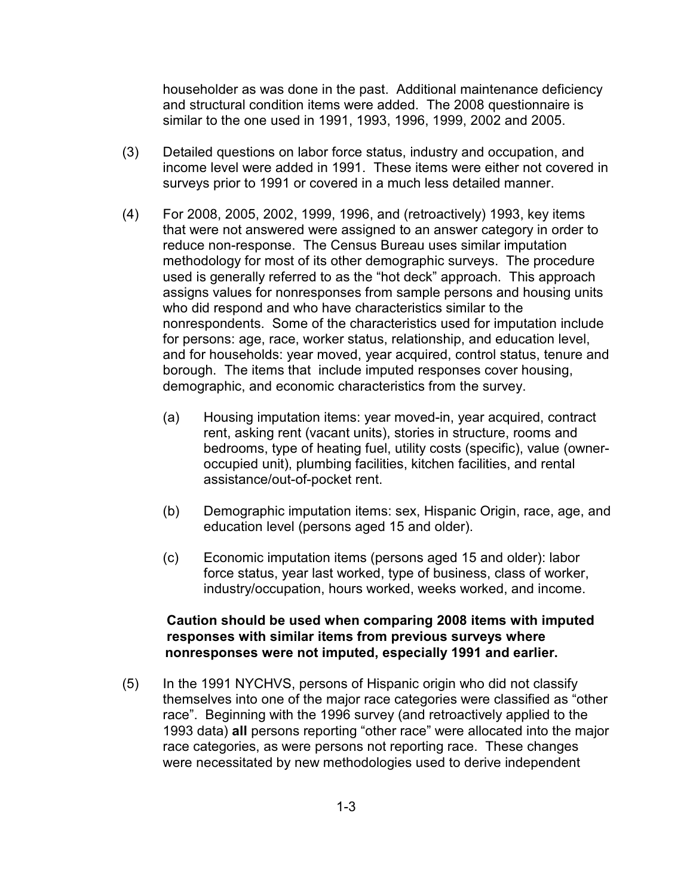householder as was done in the past. Additional maintenance deficiency and structural condition items were added. The 2008 questionnaire is similar to the one used in 1991, 1993, 1996, 1999, 2002 and 2005.

- (3) Detailed questions on labor force status, industry and occupation, and income level were added in 1991. These items were either not covered in surveys prior to 1991 or covered in a much less detailed manner.
- (4) For 2008, 2005, 2002, 1999, 1996, and (retroactively) 1993, key items that were not answered were assigned to an answer category in order to reduce non-response. The Census Bureau uses similar imputation methodology for most of its other demographic surveys. The procedure used is generally referred to as the "hot deck" approach. This approach assigns values for nonresponses from sample persons and housing units who did respond and who have characteristics similar to the nonrespondents. Some of the characteristics used for imputation include for persons: age, race, worker status, relationship, and education level, and for households: year moved, year acquired, control status, tenure and borough. The items that include imputed responses cover housing, demographic, and economic characteristics from the survey.
	- (a) Housing imputation items: year moved-in, year acquired, contract rent, asking rent (vacant units), stories in structure, rooms and bedrooms, type of heating fuel, utility costs (specific), value (owneroccupied unit), plumbing facilities, kitchen facilities, and rental assistance/out-of-pocket rent.
	- (b) Demographic imputation items: sex, Hispanic Origin, race, age, and education level (persons aged 15 and older).
	- (c) Economic imputation items (persons aged 15 and older): labor force status, year last worked, type of business, class of worker, industry/occupation, hours worked, weeks worked, and income.

## **Caution should be used when comparing 2008 items with imputed responses with similar items from previous surveys where nonresponses were not imputed, especially 1991 and earlier.**

(5) In the 1991 NYCHVS, persons of Hispanic origin who did not classify themselves into one of the major race categories were classified as "other race". Beginning with the 1996 survey (and retroactively applied to the 1993 data) **all** persons reporting "other race" were allocated into the major race categories, as were persons not reporting race. These changes were necessitated by new methodologies used to derive independent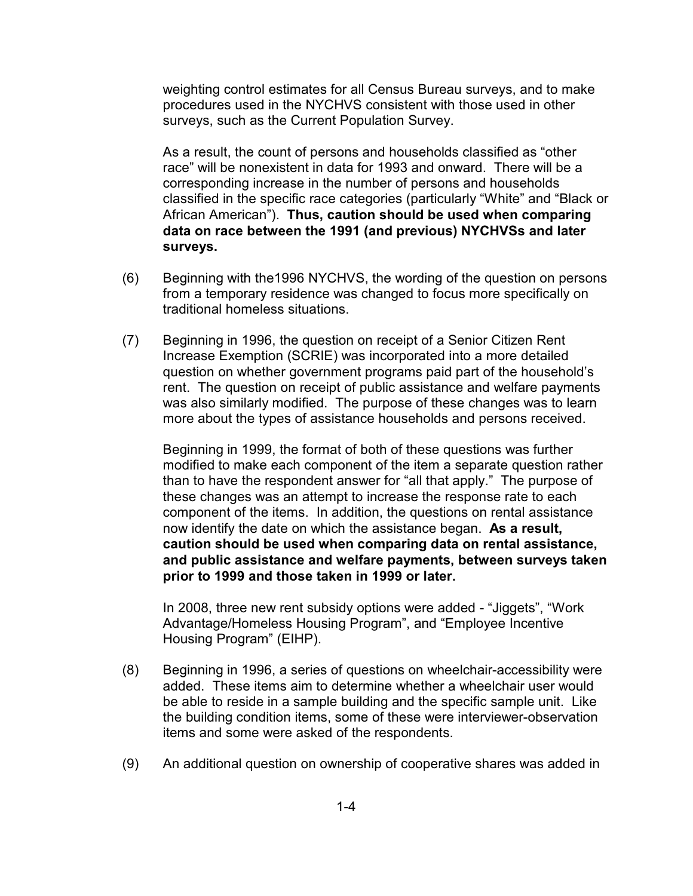weighting control estimates for all Census Bureau surveys, and to make procedures used in the NYCHVS consistent with those used in other surveys, such as the Current Population Survey.

 African American"). **Thus, caution should be used when comparing**  As a result, the count of persons and households classified as "other race" will be nonexistent in data for 1993 and onward. There will be a corresponding increase in the number of persons and households classified in the specific race categories (particularly "White" and "Black or **data on race between the 1991 (and previous) NYCHVSs and later surveys.** 

- (6) Beginning with the1996 NYCHVS, the wording of the question on persons from a temporary residence was changed to focus more specifically on traditional homeless situations.
- (7) Beginning in 1996, the question on receipt of a Senior Citizen Rent Increase Exemption (SCRIE) was incorporated into a more detailed question on whether government programs paid part of the household's rent. The question on receipt of public assistance and welfare payments was also similarly modified. The purpose of these changes was to learn more about the types of assistance households and persons received.

Beginning in 1999, the format of both of these questions was further modified to make each component of the item a separate question rather than to have the respondent answer for "all that apply." The purpose of these changes was an attempt to increase the response rate to each component of the items. In addition, the questions on rental assistance now identify the date on which the assistance began. **As a result, caution should be used when comparing data on rental assistance, and public assistance and welfare payments, between surveys taken prior to 1999 and those taken in 1999 or later.** 

In 2008, three new rent subsidy options were added - "Jiggets", "Work Advantage/Homeless Housing Program", and "Employee Incentive Housing Program" (EIHP).

- (8) Beginning in 1996, a series of questions on wheelchair-accessibility were added. These items aim to determine whether a wheelchair user would be able to reside in a sample building and the specific sample unit. Like the building condition items, some of these were interviewer-observation items and some were asked of the respondents.
- (9) An additional question on ownership of cooperative shares was added in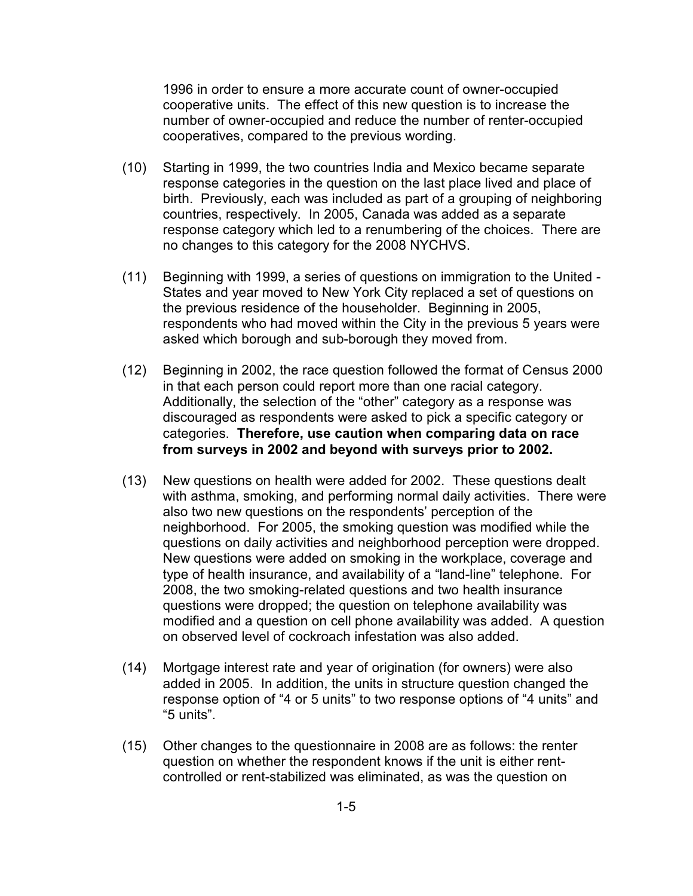1996 in order to ensure a more accurate count of owner-occupied cooperative units. The effect of this new question is to increase the number of owner-occupied and reduce the number of renter-occupied cooperatives, compared to the previous wording.

- (10) Starting in 1999, the two countries India and Mexico became separate response categories in the question on the last place lived and place of birth. Previously, each was included as part of a grouping of neighboring countries, respectively. In 2005, Canada was added as a separate response category which led to a renumbering of the choices. There are no changes to this category for the 2008 NYCHVS.
- (11) Beginning with 1999, a series of questions on immigration to the United -States and year moved to New York City replaced a set of questions on the previous residence of the householder. Beginning in 2005, respondents who had moved within the City in the previous 5 years were asked which borough and sub-borough they moved from.
- (12) Beginning in 2002, the race question followed the format of Census 2000 in that each person could report more than one racial category. Additionally, the selection of the "other" category as a response was discouraged as respondents were asked to pick a specific category or categories. **Therefore, use caution when comparing data on race from surveys in 2002 and beyond with surveys prior to 2002.**
- (13) New questions on health were added for 2002. These questions dealt with asthma, smoking, and performing normal daily activities. There were also two new questions on the respondents' perception of the neighborhood. For 2005, the smoking question was modified while the questions on daily activities and neighborhood perception were dropped. New questions were added on smoking in the workplace, coverage and type of health insurance, and availability of a "land-line" telephone. For 2008, the two smoking-related questions and two health insurance questions were dropped; the question on telephone availability was modified and a question on cell phone availability was added. A question on observed level of cockroach infestation was also added.
- (14) Mortgage interest rate and year of origination (for owners) were also added in 2005. In addition, the units in structure question changed the response option of "4 or 5 units" to two response options of "4 units" and "5 units".
- (15) Other changes to the questionnaire in 2008 are as follows: the renter question on whether the respondent knows if the unit is either rentcontrolled or rent-stabilized was eliminated, as was the question on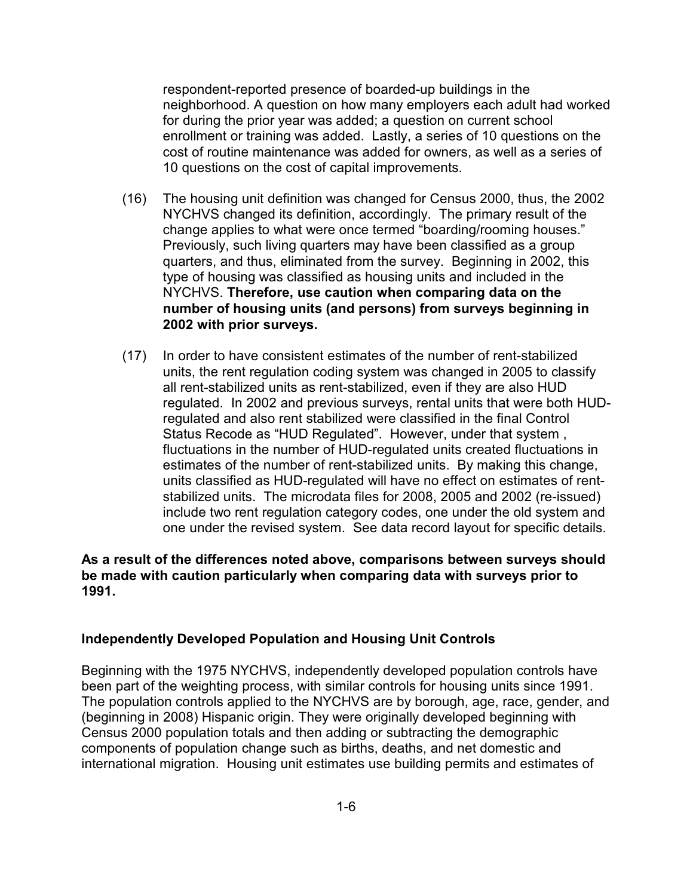respondent-reported presence of boarded-up buildings in the neighborhood. A question on how many employers each adult had worked for during the prior year was added; a question on current school enrollment or training was added. Lastly, a series of 10 questions on the cost of routine maintenance was added for owners, as well as a series of 10 questions on the cost of capital improvements.

- (16) The housing unit definition was changed for Census 2000, thus, the 2002 NYCHVS changed its definition, accordingly. The primary result of the change applies to what were once termed "boarding/rooming houses." Previously, such living quarters may have been classified as a group quarters, and thus, eliminated from the survey. Beginning in 2002, this type of housing was classified as housing units and included in the NYCHVS. **Therefore, use caution when comparing data on the number of housing units (and persons) from surveys beginning in 2002 with prior surveys.**
- (17) In order to have consistent estimates of the number of rent-stabilized units, the rent regulation coding system was changed in 2005 to classify all rent-stabilized units as rent-stabilized, even if they are also HUD regulated. In 2002 and previous surveys, rental units that were both HUDregulated and also rent stabilized were classified in the final Control Status Recode as "HUD Regulated". However, under that system , fluctuations in the number of HUD-regulated units created fluctuations in estimates of the number of rent-stabilized units. By making this change, units classified as HUD-regulated will have no effect on estimates of rentstabilized units. The microdata files for 2008, 2005 and 2002 (re-issued) include two rent regulation category codes, one under the old system and one under the revised system. See data record layout for specific details.

### **As a result of the differences noted above, comparisons between surveys should be made with caution particularly when comparing data with surveys prior to 1991.**

#### **Independently Developed Population and Housing Unit Controls**

Beginning with the 1975 NYCHVS, independently developed population controls have been part of the weighting process, with similar controls for housing units since 1991. The population controls applied to the NYCHVS are by borough, age, race, gender, and (beginning in 2008) Hispanic origin. They were originally developed beginning with Census 2000 population totals and then adding or subtracting the demographic components of population change such as births, deaths, and net domestic and international migration. Housing unit estimates use building permits and estimates of